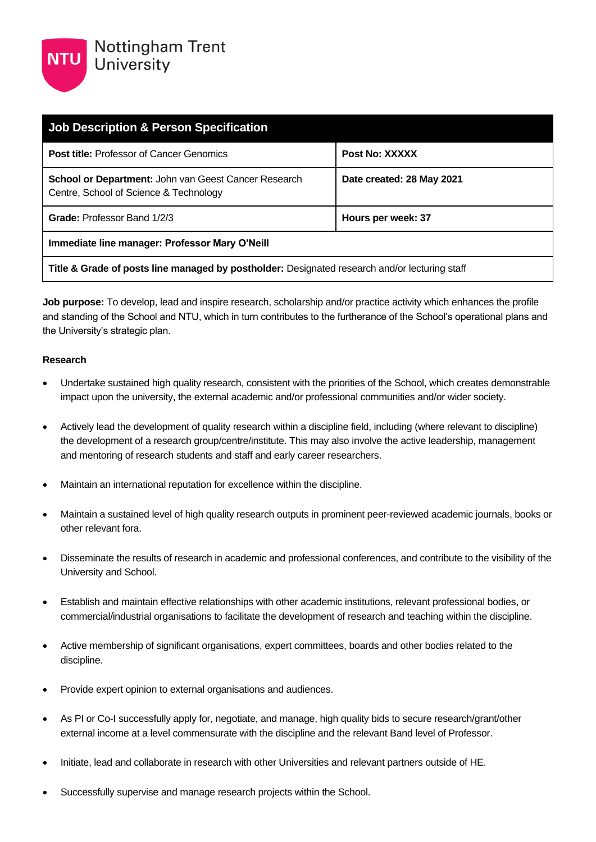| <b>Job Description &amp; Person Specification</b>                                                     |                           |  |
|-------------------------------------------------------------------------------------------------------|---------------------------|--|
| <b>Post title: Professor of Cancer Genomics</b>                                                       | Post No: XXXXX            |  |
| <b>School or Department: John van Geest Cancer Research</b><br>Centre, School of Science & Technology | Date created: 28 May 2021 |  |
| <b>Grade: Professor Band 1/2/3</b>                                                                    | Hours per week: 37        |  |
| Immediate line manager: Professor Mary O'Neill                                                        |                           |  |
| Title & Grade of posts line managed by postholder: Designated research and/or lecturing staff         |                           |  |

**Job purpose:** To develop, lead and inspire research, scholarship and/or practice activity which enhances the profile and standing of the School and NTU, which in turn contributes to the furtherance of the School's operational plans and the University's strategic plan.

#### **Research**

- Undertake sustained high quality research, consistent with the priorities of the School, which creates demonstrable impact upon the university, the external academic and/or professional communities and/or wider society.
- Actively lead the development of quality research within a discipline field, including (where relevant to discipline) the development of a research group/centre/institute. This may also involve the active leadership, management and mentoring of research students and staff and early career researchers.
- Maintain an international reputation for excellence within the discipline.
- Maintain a sustained level of high quality research outputs in prominent peer-reviewed academic journals, books or other relevant fora.
- Disseminate the results of research in academic and professional conferences, and contribute to the visibility of the University and School.
- Establish and maintain effective relationships with other academic institutions, relevant professional bodies, or commercial/industrial organisations to facilitate the development of research and teaching within the discipline.
- Active membership of significant organisations, expert committees, boards and other bodies related to the discipline.
- Provide expert opinion to external organisations and audiences.
- As PI or Co-I successfully apply for, negotiate, and manage, high quality bids to secure research/grant/other external income at a level commensurate with the discipline and the relevant Band level of Professor.
- Initiate, lead and collaborate in research with other Universities and relevant partners outside of HE.
- Successfully supervise and manage research projects within the School.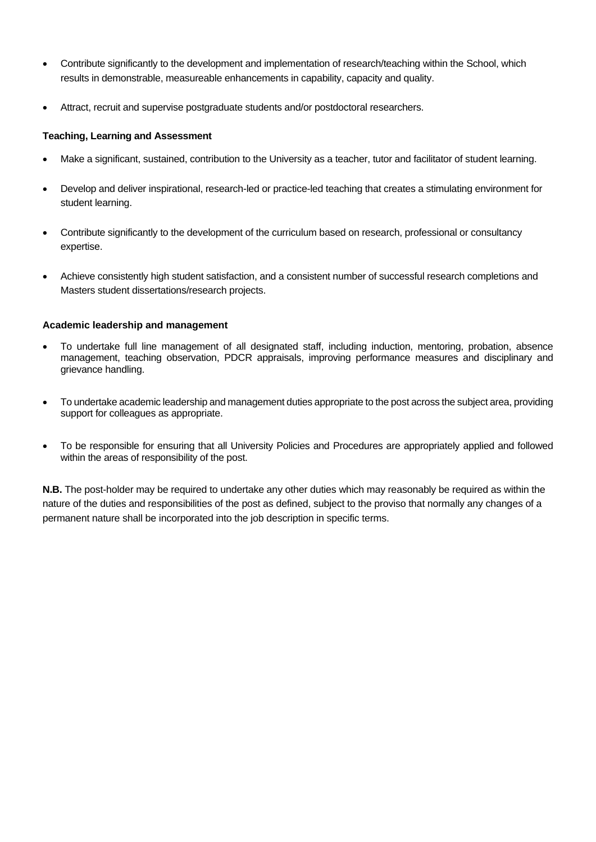- Contribute significantly to the development and implementation of research/teaching within the School, which results in demonstrable, measureable enhancements in capability, capacity and quality.
- Attract, recruit and supervise postgraduate students and/or postdoctoral researchers.

#### **Teaching, Learning and Assessment**

- Make a significant, sustained, contribution to the University as a teacher, tutor and facilitator of student learning.
- Develop and deliver inspirational, research-led or practice-led teaching that creates a stimulating environment for student learning.
- Contribute significantly to the development of the curriculum based on research, professional or consultancy expertise.
- Achieve consistently high student satisfaction, and a consistent number of successful research completions and Masters student dissertations/research projects.

## **Academic leadership and management**

- To undertake full line management of all designated staff, including induction, mentoring, probation, absence management, teaching observation, PDCR appraisals, improving performance measures and disciplinary and grievance handling.
- To undertake academic leadership and management duties appropriate to the post across the subject area, providing support for colleagues as appropriate.
- To be responsible for ensuring that all University Policies and Procedures are appropriately applied and followed within the areas of responsibility of the post.

**N.B.** The post-holder may be required to undertake any other duties which may reasonably be required as within the nature of the duties and responsibilities of the post as defined, subject to the proviso that normally any changes of a permanent nature shall be incorporated into the job description in specific terms.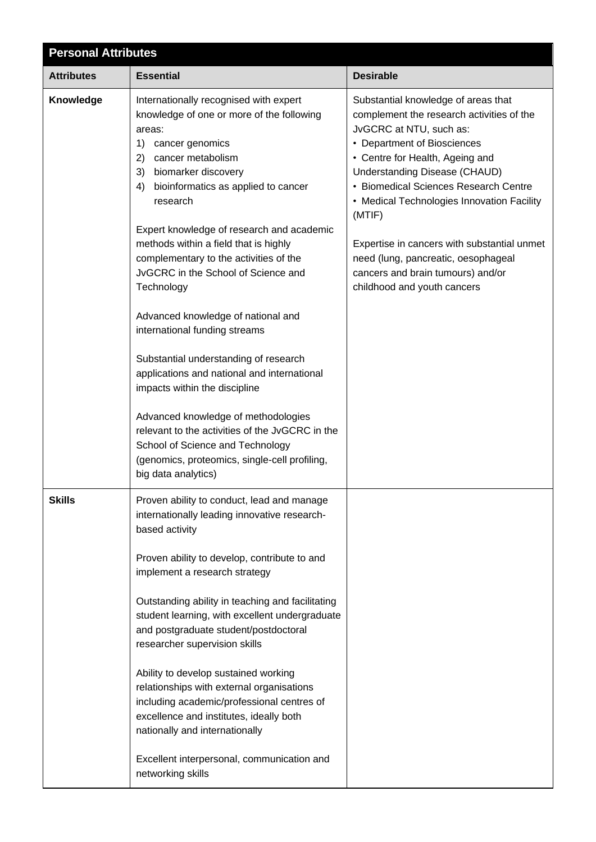| <b>Personal Attributes</b> |                                                                                                                                                                                                                                                                                                                                                                                                                                                                                                                                                                                                                                                                                                                                                                                                                                    |                                                                                                                                                                                                                                                                                                                                                                                                                                                                           |  |
|----------------------------|------------------------------------------------------------------------------------------------------------------------------------------------------------------------------------------------------------------------------------------------------------------------------------------------------------------------------------------------------------------------------------------------------------------------------------------------------------------------------------------------------------------------------------------------------------------------------------------------------------------------------------------------------------------------------------------------------------------------------------------------------------------------------------------------------------------------------------|---------------------------------------------------------------------------------------------------------------------------------------------------------------------------------------------------------------------------------------------------------------------------------------------------------------------------------------------------------------------------------------------------------------------------------------------------------------------------|--|
| <b>Attributes</b>          | <b>Essential</b>                                                                                                                                                                                                                                                                                                                                                                                                                                                                                                                                                                                                                                                                                                                                                                                                                   | <b>Desirable</b>                                                                                                                                                                                                                                                                                                                                                                                                                                                          |  |
| Knowledge                  | Internationally recognised with expert<br>knowledge of one or more of the following<br>areas:<br>1)<br>cancer genomics<br>2)<br>cancer metabolism<br>3)<br>biomarker discovery<br>4)<br>bioinformatics as applied to cancer<br>research<br>Expert knowledge of research and academic<br>methods within a field that is highly<br>complementary to the activities of the<br>JvGCRC in the School of Science and<br>Technology<br>Advanced knowledge of national and<br>international funding streams<br>Substantial understanding of research<br>applications and national and international<br>impacts within the discipline<br>Advanced knowledge of methodologies<br>relevant to the activities of the JvGCRC in the<br>School of Science and Technology<br>(genomics, proteomics, single-cell profiling,<br>big data analytics) | Substantial knowledge of areas that<br>complement the research activities of the<br>JvGCRC at NTU, such as:<br>• Department of Biosciences<br>• Centre for Health, Ageing and<br>Understanding Disease (CHAUD)<br>• Biomedical Sciences Research Centre<br>• Medical Technologies Innovation Facility<br>(MTIF)<br>Expertise in cancers with substantial unmet<br>need (lung, pancreatic, oesophageal<br>cancers and brain tumours) and/or<br>childhood and youth cancers |  |
| <b>Skills</b>              | Proven ability to conduct, lead and manage<br>internationally leading innovative research-<br>based activity<br>Proven ability to develop, contribute to and<br>implement a research strategy<br>Outstanding ability in teaching and facilitating<br>student learning, with excellent undergraduate<br>and postgraduate student/postdoctoral<br>researcher supervision skills<br>Ability to develop sustained working<br>relationships with external organisations<br>including academic/professional centres of<br>excellence and institutes, ideally both<br>nationally and internationally<br>Excellent interpersonal, communication and<br>networking skills                                                                                                                                                                   |                                                                                                                                                                                                                                                                                                                                                                                                                                                                           |  |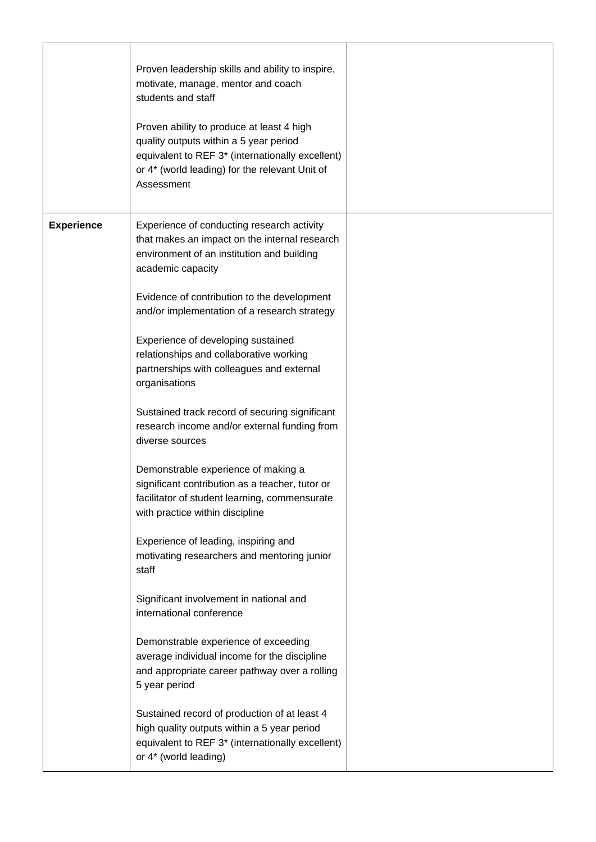|                   | Proven leadership skills and ability to inspire,<br>motivate, manage, mentor and coach<br>students and staff<br>Proven ability to produce at least 4 high<br>quality outputs within a 5 year period<br>equivalent to REF 3* (internationally excellent)<br>or 4* (world leading) for the relevant Unit of<br>Assessment                                                                                                                                                                                                                                                                                                                                                                                                                                                                                                                                                                                                                                                                                                                                                                          |  |
|-------------------|--------------------------------------------------------------------------------------------------------------------------------------------------------------------------------------------------------------------------------------------------------------------------------------------------------------------------------------------------------------------------------------------------------------------------------------------------------------------------------------------------------------------------------------------------------------------------------------------------------------------------------------------------------------------------------------------------------------------------------------------------------------------------------------------------------------------------------------------------------------------------------------------------------------------------------------------------------------------------------------------------------------------------------------------------------------------------------------------------|--|
| <b>Experience</b> | Experience of conducting research activity<br>that makes an impact on the internal research<br>environment of an institution and building<br>academic capacity<br>Evidence of contribution to the development<br>and/or implementation of a research strategy<br>Experience of developing sustained<br>relationships and collaborative working<br>partnerships with colleagues and external<br>organisations<br>Sustained track record of securing significant<br>research income and/or external funding from<br>diverse sources<br>Demonstrable experience of making a<br>significant contribution as a teacher, tutor or<br>facilitator of student learning, commensurate<br>with practice within discipline<br>Experience of leading, inspiring and<br>motivating researchers and mentoring junior<br>staff<br>Significant involvement in national and<br>international conference<br>Demonstrable experience of exceeding<br>average individual income for the discipline<br>and appropriate career pathway over a rolling<br>5 year period<br>Sustained record of production of at least 4 |  |
|                   | high quality outputs within a 5 year period<br>equivalent to REF 3* (internationally excellent)<br>or 4* (world leading)                                                                                                                                                                                                                                                                                                                                                                                                                                                                                                                                                                                                                                                                                                                                                                                                                                                                                                                                                                         |  |